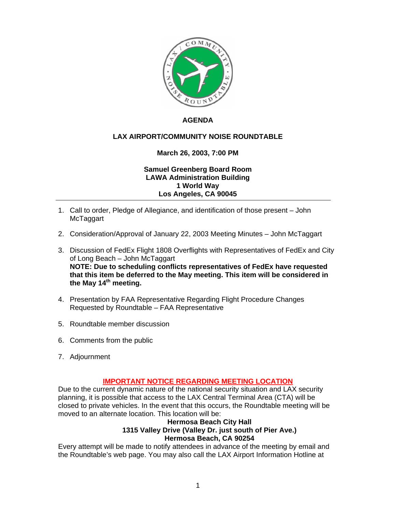

### **AGENDA**

# **LAX AIRPORT/COMMUNITY NOISE ROUNDTABLE**

# **March 26, 2003, 7:00 PM**

**Samuel Greenberg Board Room LAWA Administration Building 1 World Way Los Angeles, CA 90045** 

- 1. Call to order, Pledge of Allegiance, and identification of those present John McTaggart
- 2. Consideration/Approval of January 22, 2003 Meeting Minutes John McTaggart
- 3. Discussion of FedEx Flight 1808 Overflights with Representatives of FedEx and City of Long Beach – John McTaggart **NOTE: Due to scheduling conflicts representatives of FedEx have requested that this item be deferred to the May meeting. This item will be considered in the May 14th meeting.**
- 4. Presentation by FAA Representative Regarding Flight Procedure Changes Requested by Roundtable – FAA Representative
- 5. Roundtable member discussion
- 6. Comments from the public
- 7. Adjournment

#### **IMPORTANT NOTICE REGARDING MEETING LOCATION**

Due to the current dynamic nature of the national security situation and LAX security planning, it is possible that access to the LAX Central Terminal Area (CTA) will be closed to private vehicles. In the event that this occurs, the Roundtable meeting will be moved to an alternate location. This location will be:

#### **Hermosa Beach City Hall 1315 Valley Drive (Valley Dr. just south of Pier Ave.) Hermosa Beach, CA 90254**

Every attempt will be made to notify attendees in advance of the meeting by email and the Roundtable's web page. You may also call the LAX Airport Information Hotline at